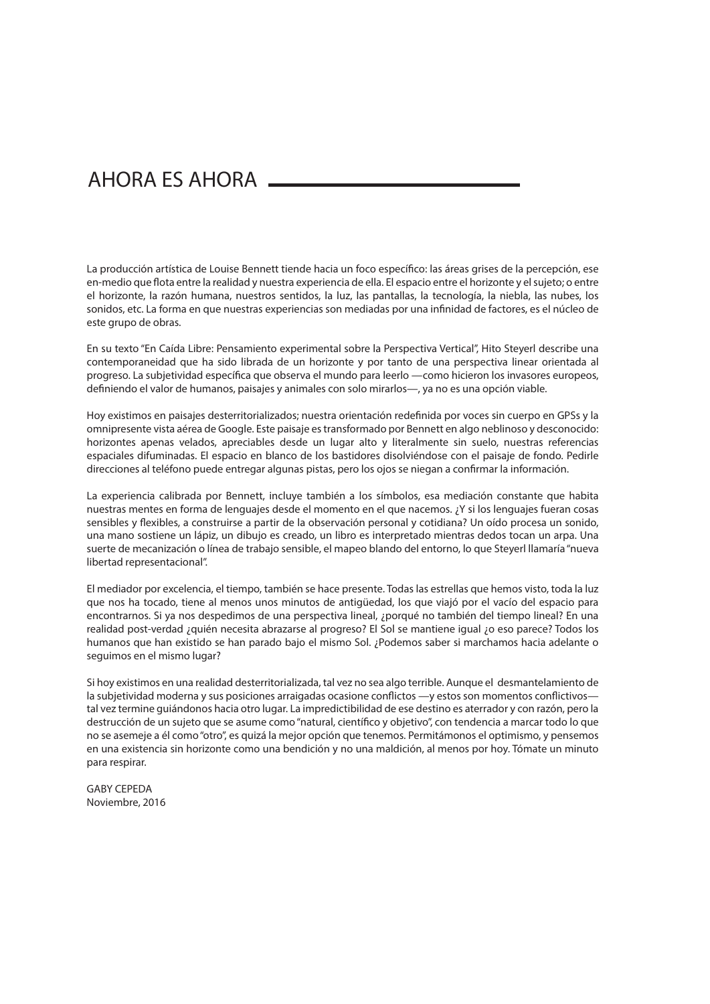## AHORA ES AHORA

La producción artística de Louise Bennett tiende hacia un foco específico: las áreas grises de la percepción, ese en-medio que flota entre la realidad y nuestra experiencia de ella. El espacio entre el horizonte y el sujeto; o entre el horizonte, la razón humana, nuestros sentidos, la luz, las pantallas, la tecnología, la niebla, las nubes, los sonidos, etc. La forma en que nuestras experiencias son mediadas por una infinidad de factores, es el núcleo de este grupo de obras.

En su texto "En Caída Libre: Pensamiento experimental sobre la Perspectiva Vertical", Hito Steyerl describe una contemporaneidad que ha sido librada de un horizonte y por tanto de una perspectiva linear orientada al progreso. La subietividad específica que observa el mundo para leerlo —como hicieron los invasores europeos, definiendo el valor de humanos, paisajes y animales con solo mirarlos—, ya no es una opción viable.

Hoy existimos en paisajes desterritorializados; nuestra orientación redefinida por voces sin cuerpo en GPSs y la omnipresente vista aérea de Google. Este paisaje es transformado por Bennett en algo neblinoso y desconocido: horizontes apenas velados, apreciables desde un lugar alto y literalmente sin suelo, nuestras referencias espaciales difuminadas. El espacio en blanco de los bastidores disolviéndose con el paisaje de fondo. Pedirle direcciones al teléfono puede entregar algunas pistas, pero los ojos se niegan a confirmar la información.

La experiencia calibrada por Bennett, incluye también a los símbolos, esa mediación constante que habita nuestras mentes en forma de lenguajes desde el momento en el que nacemos. ¿Y si los lenguajes fueran cosas sensibles y flexibles, a construirse a partir de la observación personal y cotidiana? Un oído procesa un sonido, una mano sostiene un lápiz, un dibujo es creado, un libro es interpretado mientras dedos tocan un arpa. Una suerte de mecanización o línea de trabajo sensible, el mapeo blando del entorno, lo que Steyerl llamaría "nueva libertad representacional".

El mediador por excelencia, el tiempo, también se hace presente. Todas las estrellas que hemos visto, toda la luz que nos ha tocado, tiene al menos unos minutos de antigüedad, los que viajó por el vacío del espacio para encontrarnos. Si ya nos despedimos de una perspectiva lineal, ¿porqué no también del tiempo lineal? En una realidad post-verdad ¿quién necesita abrazarse al progreso? El Sol se mantiene igual ¿o eso parece? Todos los humanos que han existido se han parado bajo el mismo Sol. ¿Podemos saber si marchamos hacia adelante o seguimos en el mismo lugar?

Si hoy existimos en una realidad desterritorializada, tal vez no sea algo terrible. Aunque el desmantelamiento de la subjetividad moderna y sus posiciones arraigadas ocasione conflictos —y estos son momentos conflictivostal vez termine guiándonos hacia otro lugar. La impredictibilidad de ese destino es aterrador y con razón, pero la destrucción de un sujeto que se asume como "natural, científico y objetivo", con tendencia a marcar todo lo que no se asemeje a él como "otro", es quizá la mejor opción que tenemos. Permitámonos el optimismo, y pensemos en una existencia sin horizonte como una bendición y no una maldición, al menos por hoy. Tómate un minuto para respirar.

GABY CEPEDA Noviembre, 2016